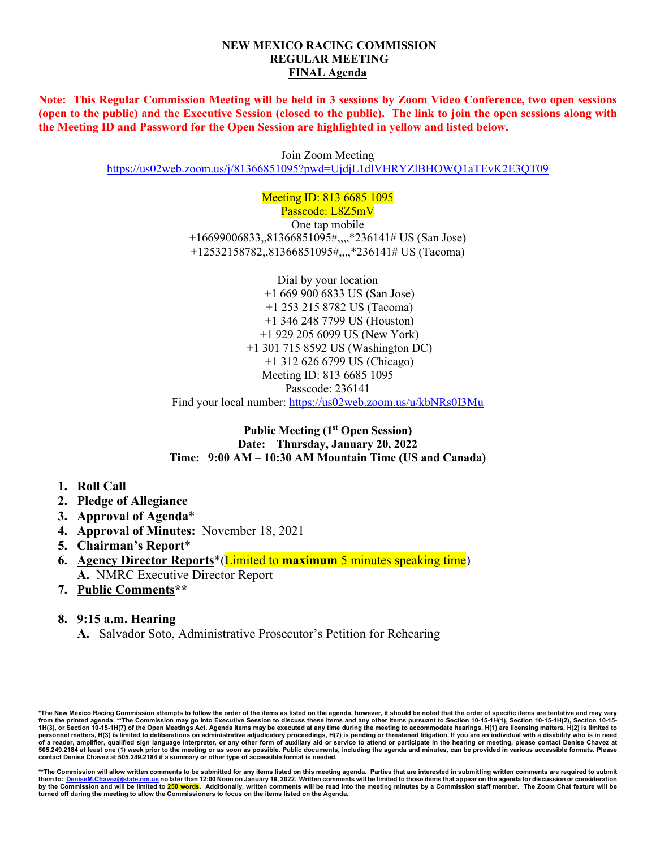#### **NEW MEXICO RACING COMMISSION REGULAR MEETING FINAL Agenda**

**Note: This Regular Commission Meeting will be held in 3 sessions by Zoom Video Conference, two open sessions (open to the public) and the Executive Session (closed to the public). The link to join the open sessions along with the Meeting ID and Password for the Open Session are highlighted in yellow and listed below.**

Join Zoom Meeting

<https://us02web.zoom.us/j/81366851095?pwd=UjdjL1dlVHRYZlBHOWQ1aTEvK2E3QT09>

Meeting ID: 813 6685 1095 Passcode: L8Z5mV One tap mobile +16699006833,,81366851095#,,,,\*236141# US (San Jose) +12532158782,,81366851095#,,,,\*236141# US (Tacoma)

Dial by your location +1 669 900 6833 US (San Jose) +1 253 215 8782 US (Tacoma) +1 346 248 7799 US (Houston) +1 929 205 6099 US (New York) +1 301 715 8592 US (Washington DC) +1 312 626 6799 US (Chicago) Meeting ID: 813 6685 1095 Passcode: 236141 Find your local number:<https://us02web.zoom.us/u/kbNRs0I3Mu>

**Public Meeting (1st Open Session) Date: Thursday, January 20, 2022 Time: 9:00 AM – 10:30 AM Mountain Time (US and Canada)**

- **1. Roll Call**
- **2. Pledge of Allegiance**
- **3. Approval of Agenda**\*
- **4. Approval of Minutes:** November 18, 2021
- **5. Chairman's Report**\*
- **6. Agency Director Reports**\*(Limited to **maximum** 5 minutes speaking time) **A.** NMRC Executive Director Report
- **7. Public Comments\*\***
- **8. 9:15 a.m. Hearing**
	- **A.** Salvador Soto, Administrative Prosecutor's Petition for Rehearing

\*The New Mexico Racing Commission attempts to follow the order of the items as listed on the agenda, however, it should be noted that the order of specific items are tentative and may vary<br>from the printed agenda. \*\*The C **personnel matters, H(3) is limited to deliberations on administrative adjudicatory proceedings, H(7) is pending or threatened litigation. If you are an individual with a disability who is in need of a reader, amplifier, qualified sign language interpreter, or any other form of auxiliary aid or service to attend or participate in the hearing or meeting, please contact Denise Chavez at 505.249.2184 at least one (1) week prior to the meeting or as soon as possible. Public documents, including the agenda and minutes, can be provided in various accessible formats. Please contact Denise Chavez at 505.249.2184 if a summary or other type of accessible format is needed.**

<sup>\*\*</sup>The Commission will allow written comments to be submitted for any items listed on this meeting agenda. Parties that are interested in submitting written comments are required to submit<br>them to: DeniseM.Chavez@state.nm.u <u>ate.nm.us</u> no later than 12:00 Noon on January 19, 2022. Written comments will be limited to those items that appear on the agenda for discussion or consideration **by the Commission and will be limited to 250 words. Additionally, written comments will be read into the meeting minutes by a Commission staff member. The Zoom Chat feature will be turned off during the meeting to allow the Commissioners to focus on the items listed on the Agenda.**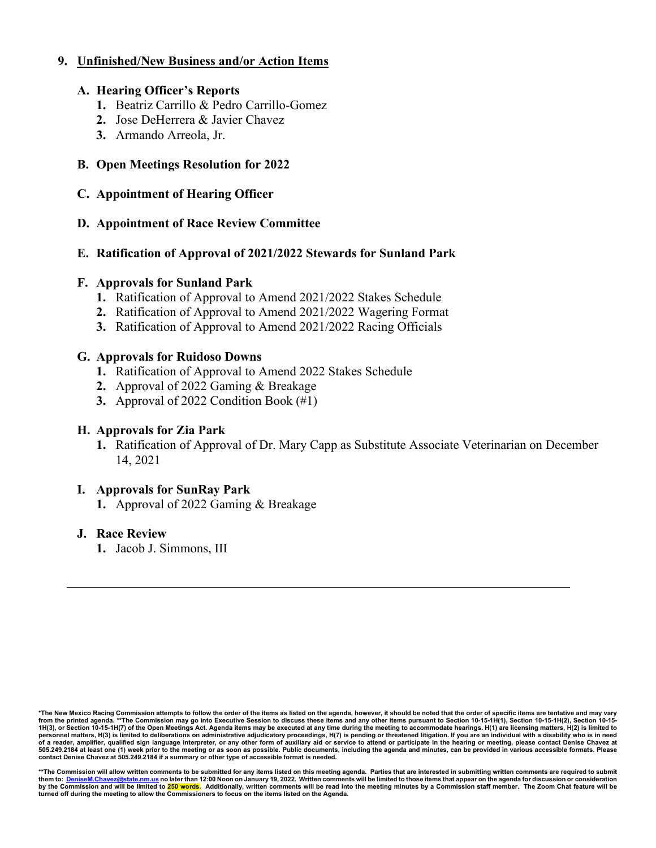### **9. Unfinished/New Business and/or Action Items**

#### **A. Hearing Officer's Reports**

- **1.** Beatriz Carrillo & Pedro Carrillo-Gomez
- **2.** Jose DeHerrera & Javier Chavez
- **3.** Armando Arreola, Jr.

# **B. Open Meetings Resolution for 2022**

### **C. Appointment of Hearing Officer**

### **D. Appointment of Race Review Committee**

## **E. Ratification of Approval of 2021/2022 Stewards for Sunland Park**

### **F. Approvals for Sunland Park**

- **1.** Ratification of Approval to Amend 2021/2022 Stakes Schedule
- **2.** Ratification of Approval to Amend 2021/2022 Wagering Format
- **3.** Ratification of Approval to Amend 2021/2022 Racing Officials

### **G. Approvals for Ruidoso Downs**

- **1.** Ratification of Approval to Amend 2022 Stakes Schedule
- **2.** Approval of 2022 Gaming & Breakage
- **3.** Approval of 2022 Condition Book (#1)

### **H. Approvals for Zia Park**

**1.** Ratification of Approval of Dr. Mary Capp as Substitute Associate Veterinarian on December 14, 2021

### **I. Approvals for SunRay Park**

**1.** Approval of 2022 Gaming & Breakage

### **J. Race Review**

**1.** Jacob J. Simmons, III

<sup>\*</sup>The New Mexico Racing Commission attempts to follow the order of the items as listed on the agenda, however, it should be noted that the order of specific items are tentative and may vary<br>from the printed agenda. \*\*The C **personnel matters, H(3) is limited to deliberations on administrative adjudicatory proceedings, H(7) is pending or threatened litigation. If you are an individual with a disability who is in need of a reader, amplifier, qualified sign language interpreter, or any other form of auxiliary aid or service to attend or participate in the hearing or meeting, please contact Denise Chavez at 505.249.2184 at least one (1) week prior to the meeting or as soon as possible. Public documents, including the agenda and minutes, can be provided in various accessible formats. Please contact Denise Chavez at 505.249.2184 if a summary or other type of accessible format is needed.**

<sup>\*\*</sup>The Commission will allow written comments to be submitted for any items listed on this meeting agenda. Parties that are interested in submitting written comments are required to submit<br>them to: DeniseM.Chavez@state.nm.u <u>ate.nm.us</u> no later than 12:00 Noon on January 19, 2022. Written comments will be limited to those items that appear on the agenda for discussion or consideration by the Commission and will be limited to <mark>250 words</mark>. Additionally, written comments will be read into the meeting minutes by a Commission staff member. The Zoom Chat feature will be<br>turned off during the meeting to allo